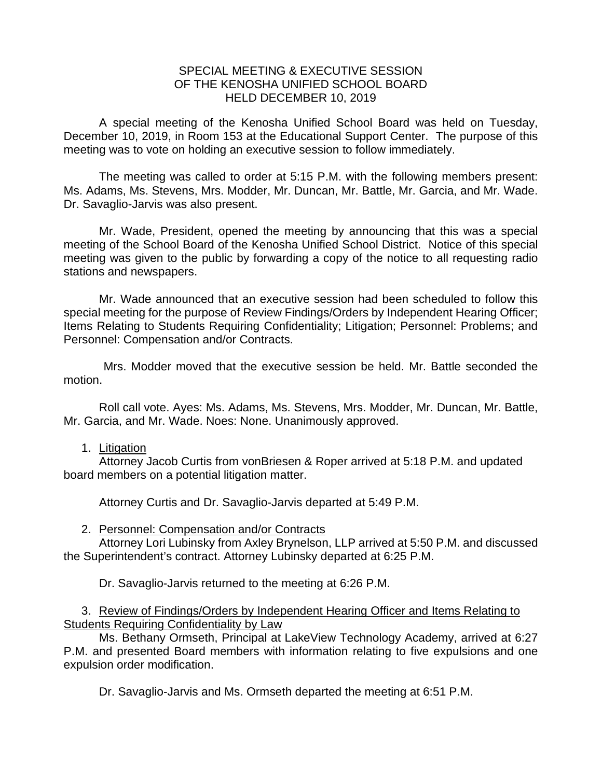## SPECIAL MEETING & EXECUTIVE SESSION OF THE KENOSHA UNIFIED SCHOOL BOARD HELD DECEMBER 10, 2019

A special meeting of the Kenosha Unified School Board was held on Tuesday, December 10, 2019, in Room 153 at the Educational Support Center. The purpose of this meeting was to vote on holding an executive session to follow immediately.

The meeting was called to order at 5:15 P.M. with the following members present: Ms. Adams, Ms. Stevens, Mrs. Modder, Mr. Duncan, Mr. Battle, Mr. Garcia, and Mr. Wade. Dr. Savaglio-Jarvis was also present.

Mr. Wade, President, opened the meeting by announcing that this was a special meeting of the School Board of the Kenosha Unified School District. Notice of this special meeting was given to the public by forwarding a copy of the notice to all requesting radio stations and newspapers.

Mr. Wade announced that an executive session had been scheduled to follow this special meeting for the purpose of Review Findings/Orders by Independent Hearing Officer; Items Relating to Students Requiring Confidentiality; Litigation; Personnel: Problems; and Personnel: Compensation and/or Contracts.

Mrs. Modder moved that the executive session be held. Mr. Battle seconded the motion.

Roll call vote. Ayes: Ms. Adams, Ms. Stevens, Mrs. Modder, Mr. Duncan, Mr. Battle, Mr. Garcia, and Mr. Wade. Noes: None. Unanimously approved.

## 1. Litigation

Attorney Jacob Curtis from vonBriesen & Roper arrived at 5:18 P.M. and updated board members on a potential litigation matter.

Attorney Curtis and Dr. Savaglio-Jarvis departed at 5:49 P.M.

## 2. Personnel: Compensation and/or Contracts

Attorney Lori Lubinsky from Axley Brynelson, LLP arrived at 5:50 P.M. and discussed the Superintendent's contract. Attorney Lubinsky departed at 6:25 P.M.

Dr. Savaglio-Jarvis returned to the meeting at 6:26 P.M.

3. Review of Findings/Orders by Independent Hearing Officer and Items Relating to Students Requiring Confidentiality by Law

Ms. Bethany Ormseth, Principal at LakeView Technology Academy, arrived at 6:27 P.M. and presented Board members with information relating to five expulsions and one expulsion order modification.

Dr. Savaglio-Jarvis and Ms. Ormseth departed the meeting at 6:51 P.M.